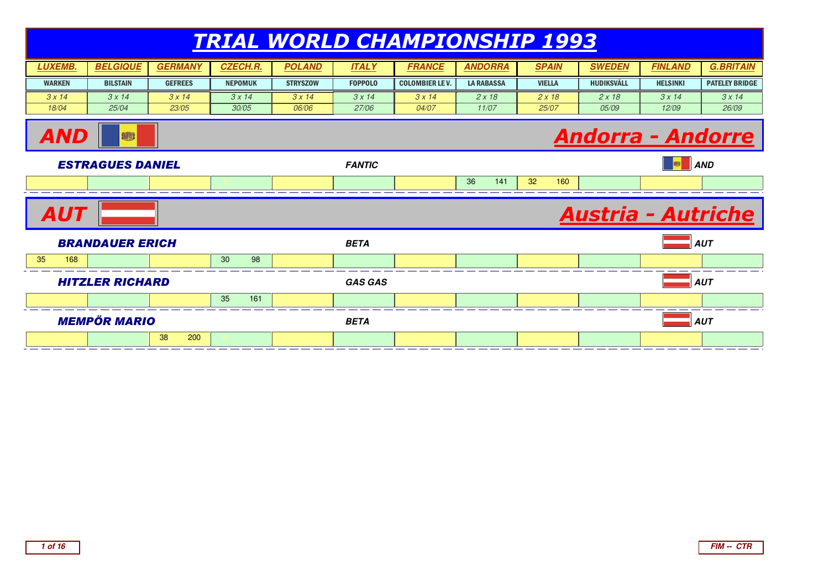|                                                     | <u>TRIAL WORLD CHAMPIONSHIP 1993</u>          |                |                 |                 |                |                        |                   |               |                            |                 |                       |  |  |
|-----------------------------------------------------|-----------------------------------------------|----------------|-----------------|-----------------|----------------|------------------------|-------------------|---------------|----------------------------|-----------------|-----------------------|--|--|
| <b>LUXEMB.</b>                                      | <b>BELGIQUE</b>                               | <b>GERMANY</b> | <b>CZECH.R.</b> | <b>POLAND</b>   | <b>ITALY</b>   | <b>FRANCE</b>          | <b>ANDORRA</b>    | <b>SPAIN</b>  | <b>SWEDEN</b>              | <b>FINLAND</b>  | <b>G.BRITAIN</b>      |  |  |
| <b>WARKEN</b>                                       | <b>BILSTAIN</b>                               | <b>GEFREES</b> | <b>NEPOMUK</b>  | <b>STRYSZOW</b> | <b>FOPPOLO</b> | <b>COLOMBIER LE V.</b> | <b>LA RABASSA</b> | <b>VIELLA</b> | <b>HUDIKSVÄLL</b>          | <b>HELSINKI</b> | <b>PATELEY BRIDGE</b> |  |  |
| 3x14                                                | 3x14                                          | 3x14           | 3x14            | 3x14            | 3x14           | 3x14                   | 2x18              | 2x18          | 2x18                       | 3x14            | 3x14                  |  |  |
| 18/04                                               | 25/04                                         | 23/05          | 30/05           | 06/06           | 27/06          | 04/07                  | 11/07             | 25/07         | 05/09                      | 12/09           | 26/09                 |  |  |
| <u> Andorra - Andorre</u><br><i><b>AND</b></i><br>® |                                               |                |                 |                 |                |                        |                   |               |                            |                 |                       |  |  |
|                                                     | S<br><b>ESTRAGUES DANIEL</b><br><b>FANTIC</b> |                |                 |                 |                |                        |                   |               |                            |                 |                       |  |  |
|                                                     |                                               |                |                 |                 |                |                        | 36<br>141         | 32<br>160     |                            |                 |                       |  |  |
| <i><b>AUT</b></i>                                   |                                               |                |                 |                 |                |                        |                   |               | <u> Austria - Autriche</u> |                 |                       |  |  |
|                                                     | <b>BRANDAUER ERICH</b>                        |                |                 |                 | <b>BETA</b>    |                        |                   |               |                            |                 | <b>AUT</b>            |  |  |
| 35<br>168                                           |                                               |                | 30<br>98        |                 |                |                        |                   |               |                            |                 |                       |  |  |
|                                                     | <b>HITZLER RICHARD</b>                        |                |                 |                 | <b>GAS GAS</b> |                        |                   |               |                            |                 | <b>AUT</b>            |  |  |
|                                                     |                                               |                | 35<br>161       |                 |                |                        |                   |               |                            |                 |                       |  |  |
|                                                     | <b>MEMPÖR MARIO</b>                           |                |                 |                 | <b>BETA</b>    |                        |                   |               |                            |                 | <b>AUT</b>            |  |  |
|                                                     |                                               | 38<br>200      |                 |                 |                |                        |                   |               |                            |                 |                       |  |  |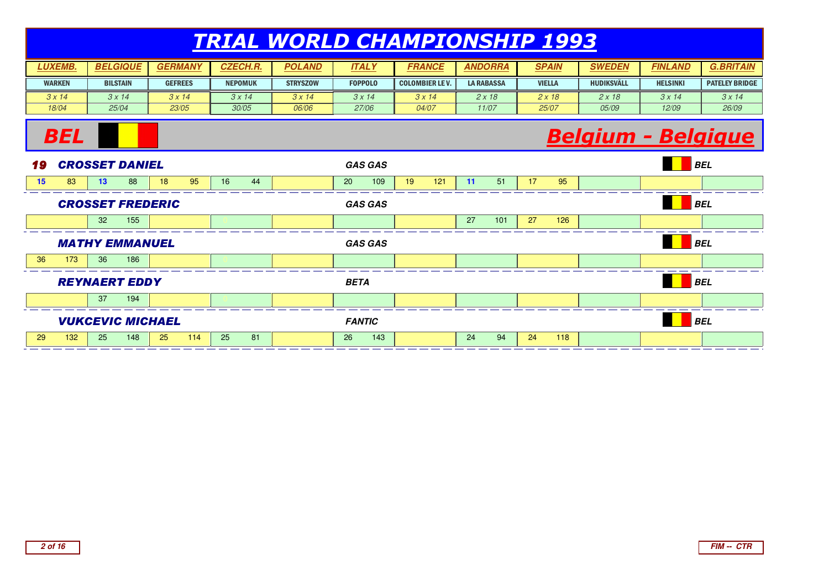| <b>LUXEMB.</b> | <b>BELGIQUE</b> | <b>GERMANY</b> | <b>CZECH.R.</b> | POLAND          | <b>ITALY</b>   | <b>FRANCE</b>          | <b>ANDORRA</b>    | <b>SPAIN</b>  | <b>SWEDEN</b> | <b>FINLAND</b>  | <b>G.BRITAIN</b>      |
|----------------|-----------------|----------------|-----------------|-----------------|----------------|------------------------|-------------------|---------------|---------------|-----------------|-----------------------|
| <b>WARKEN</b>  | <b>BILSTAIN</b> | <b>GEFREES</b> | <b>NEPOMUK</b>  | <b>STRYSZOW</b> | <b>FOPPOLO</b> | <b>COLOMBIER LE V.</b> | <b>LA RABASSA</b> | <b>VIELLA</b> | HUDIKSVÄLL    | <b>HELSINKI</b> | <b>PATELEY BRIDGE</b> |
| 3 x 14         | 3 x 14          | 3x14           | 3 x 14          | 3 x 14          | 3 x 14         | 3 x 14                 | 2 x 18            | 2 x 18        | 2x18          | 3x14            | 3x14                  |
| 18/04          | 25/04           | 23/05          | 30/05           | 06/06           | 27/06          | 04/07                  | 11/07             | 25/07         | 05/09         | 12/09           | 26/09                 |

## Belgium - Belgique



**BEL**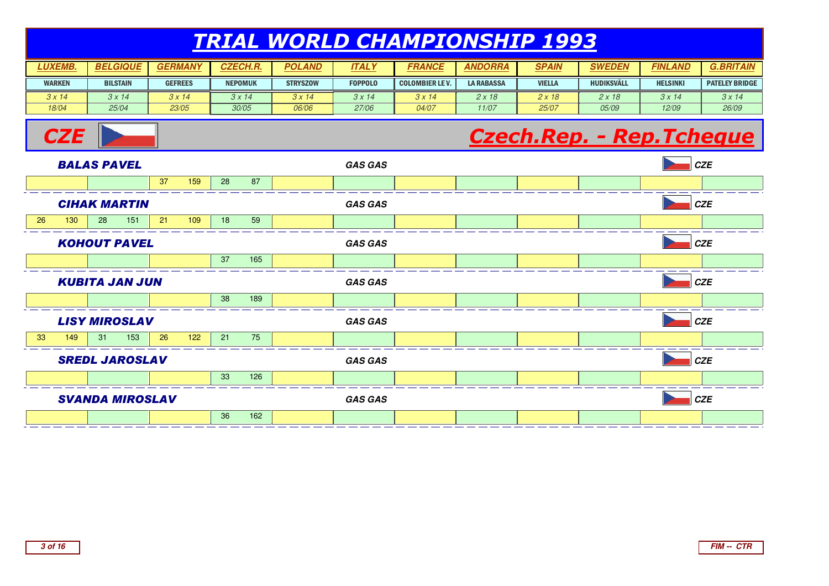| <b>LUXEMB.</b> | <b>BELGIQUE</b> | <b>GERMANY</b> | <b>CZECH.R.</b> | POLAND          | <b>ITALY</b>   | <b>FRANCE</b>          | <b>ANDORRA</b>    | <b>SPAIN</b>  | <b>SWEDEN</b> | <b>FINLAND</b>  | <b>G.BRITAIN</b>      |
|----------------|-----------------|----------------|-----------------|-----------------|----------------|------------------------|-------------------|---------------|---------------|-----------------|-----------------------|
| <b>WARKEN</b>  | <b>BILSTAIN</b> | <b>GEFREES</b> | <b>NEPOMUK</b>  | <b>STRYSZOW</b> | <b>FOPPOLO</b> | <b>COLOMBIER LE V.</b> | <b>LA RABASSA</b> | <b>VIELLA</b> | HUDIKSVÄLL    | <b>HELSINKI</b> | <b>PATELEY BRIDGE</b> |
| 3 x 14         | 3 x 14          | 3x14           | 3 x 14          | 3 x 14          | 3 x 14         | 3 x 14                 | 2 x 18            | 2 x 18        | 2x18          | 3x14            | 3x14                  |
| 18/04          | 25/04           | 23/05          | 30/05           | 06/06           | 27/06          | 04/07                  | 11/07             | 25/07         | 05/09         | 12/09           | 26/09                 |

## Czech.Rep. - Rep.Tcheque



**CZE**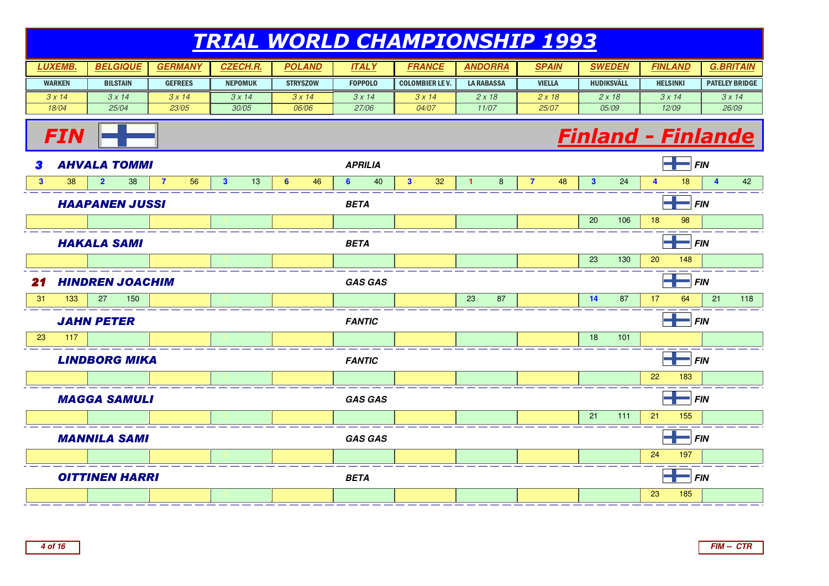#### TRIAL WORLD CHAMPIONSHIP 1993**LUXEMB. BELGIQUE GERMANY CZECH.R. POLAND**WARKEN $3 \times 14$  18/04**BILSTAIN** GEFREES **I** NEPOMUK **STRYSZOW**  $\frac{3x}{14}$ **ITALY FRANCE ANDORRA SPAIN SWEDEN** FOPPOLOCOLOMBIER LE V. | LA RABASSA | VIELLA | HUDIKSVÄLL  $3 \times 14$  25/04 $3 \times 14$  23/05 $3 \times 14$  30/05 06/06 $3 \times 14$  27/063 x 14 04/07 $2 \times 18$  11/07 $2 \times 18$  25/07 $2 \times 18$  05/09**FINLANDHELSINKI**  $3 \times 14$  12/09**G.BRITAIN**PATELEY BRIDGE $3 \times 14$  26/09**FIN** Finland - Finlande **3 AHVALA TOMMI 3 AHVALA TOMMI APRILIA** *APRILIA* **FIN APRILIA FIN FIN 3** <sup>38</sup> **<sup>2</sup>** <sup>38</sup> **<sup>7</sup>** <sup>56</sup> **<sup>3</sup>** <sup>13</sup> **<sup>6</sup>** <sup>46</sup> **<sup>6</sup>** <sup>40</sup> **<sup>3</sup>** <sup>32</sup> **<sup>1</sup>** <sup>8</sup> **<sup>7</sup>** <sup>48</sup> **<sup>3</sup>** <sup>24</sup> **<sup>4</sup>** <sup>18</sup> **<sup>4</sup>** <sup>42</sup> HAAPANEN JUSSI**BETA** FIN EXPLORER TO THE SERVICE OF THE SERVICE OF THE SERVICE OF THE SERVICE OF THE SERVICE OF THE SERVICE OF THE SERVICE OF THE SERVICE OF THE SERVICE OF THE SERVICE OF THE SERVICE OF THE SERVICE OF THE SERVICE OF THE SERVICE <sup>0</sup> <sup>0</sup> <sup>0</sup> <sup>0</sup> <sup>0</sup> <sup>0</sup> <sup>0</sup> <sup>0</sup> <sup>20</sup> <sup>106</sup> <sup>18</sup> <sup>98</sup> <sup>0</sup> HAKALA SAMI**BETA** FIN **FIN**  <sup>0</sup> <sup>0</sup> <sup>0</sup> <sup>0</sup> <sup>0</sup> <sup>0</sup> <sup>0</sup> <sup>0</sup> <sup>23</sup> <sup>130</sup> <sup>20</sup> <sup>148</sup> <sup>0</sup> 21 $HINDREN$  JOACHIM **GAS GAS FIN** 31 <sup>133</sup> <sup>27</sup> <sup>150</sup> <sup>0</sup> <sup>0</sup> <sup>0</sup> <sup>0</sup> <sup>0</sup> <sup>23</sup> <sup>87</sup> <sup>0</sup> **<sup>14</sup>** <sup>87</sup> <sup>17</sup> <sup>64</sup> <sup>21</sup> <sup>118</sup> JAHN PETER **FANTIC FIN** 23 <sup>117</sup> <sup>0</sup> <sup>0</sup> <sup>0</sup> <sup>0</sup> <sup>0</sup> <sup>0</sup> <sup>0</sup> <sup>0</sup> <sup>18</sup> <sup>101</sup> <sup>0</sup> <sup>0</sup> LINDBORG MIKA **FANTIC FIN** <sup>0</sup> <sup>0</sup> <sup>0</sup> <sup>0</sup> <sup>0</sup> <sup>0</sup> <sup>0</sup> <sup>0</sup> <sup>0</sup> <sup>22</sup> <sup>183</sup> <sup>0</sup> MAGGA SAMULI **GAS GAS** $\mathbf{S}$  **FIN**  <sup>0</sup> <sup>0</sup> <sup>0</sup> <sup>0</sup> <sup>0</sup> <sup>0</sup> <sup>0</sup> <sup>0</sup> <sup>21</sup> <sup>111</sup> <sup>21</sup> <sup>155</sup> <sup>0</sup> MANNILA SAMI **GAS GAS** $\mathbf{S}$  **FIN**  <sup>0</sup> <sup>0</sup> <sup>0</sup> <sup>0</sup> <sup>0</sup> <sup>0</sup> <sup>0</sup> <sup>0</sup> <sup>0</sup> <sup>24</sup> <sup>197</sup> <sup>0</sup> OITTINEN HARRI**BETA** FIN EXPLORER TO THE SERVICE OF THE SERVICE OF THE SERVICE OF THE SERVICE OF THE SERVICE OF THE SERVICE OF THE SERVICE OF THE SERVICE OF THE SERVICE OF THE SERVICE OF THE SERVICE OF THE SERVICE OF THE SERVICE OF THE SERVICE <sup>0</sup> <sup>0</sup> <sup>0</sup> <sup>0</sup> <sup>0</sup> <sup>0</sup> <sup>0</sup> <sup>0</sup> <sup>0</sup> <sup>23</sup> <sup>185</sup> <sup>0</sup>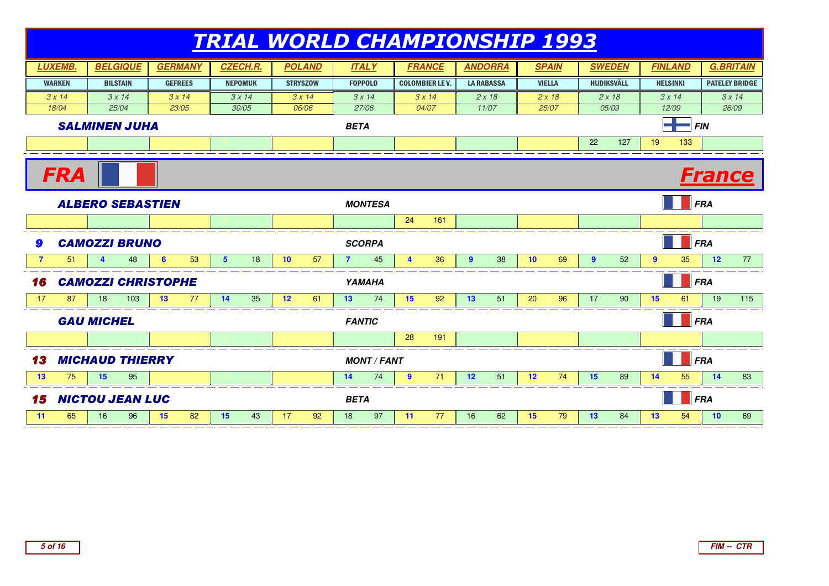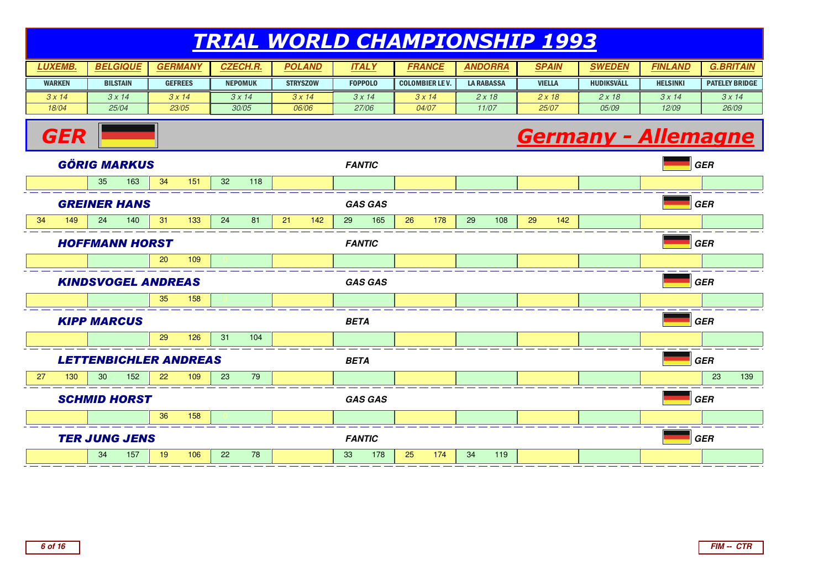| <b>LUXEMB.</b> | <b>BELGIQUE</b> | <b>GERMANY</b> | <b>CZECH.R.</b> | <b>POLAND</b>   | <b>ITALY</b>   | <b>FRANCE</b>          | ANDORRA    | <b>SPAIN</b>  | SWEDEN            | <b>FINLAND</b>  | <b>G.BRITAIN</b>      |
|----------------|-----------------|----------------|-----------------|-----------------|----------------|------------------------|------------|---------------|-------------------|-----------------|-----------------------|
| <b>WARKEN</b>  | <b>BILSTAIN</b> | <b>GEFREES</b> | <b>NEPOMUK</b>  | <b>STRYSZOW</b> | <b>FOPPOLO</b> | <b>COLOMBIER LE V.</b> | LA RABASSA | <b>VIELLA</b> | <b>HUDIKSVÄLL</b> | <b>HELSINKI</b> | <b>PATELEY BRIDGE</b> |
| 3 x 14         | 3 x 14          | 3x14           | 3 x 14          | 3 x 14          | 3 x 14         | 3x14                   | 2 x 18     | 2 x 18        | 2 x 18            | $3 \times 14$   | 3 x 14                |
| 18/04          | 25/04           | 23/05          | 30/05           | 06/06           | 27/06          | <i>04/07</i>           | 11/07      | <i>25/07</i>  | 05/09             | 12/09           | 26/09                 |

## **Germany - Allemagne**



**GER**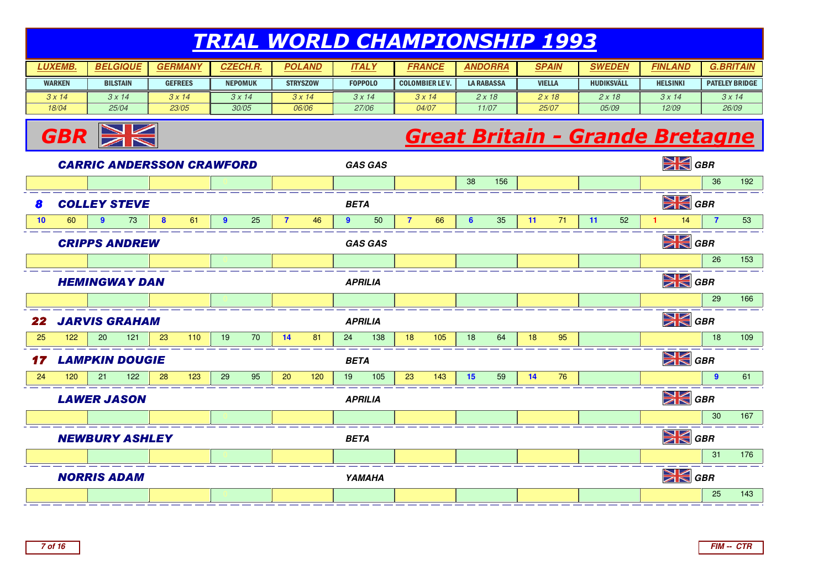| <b>UXEMB.</b> | <b>BELGIQUE</b> | $M$ ANY<br><i><b>GERM</b></i> | <b>CZECH.R.</b> | POLAND          | <b>ITALY</b>   | <i><b>FRANCE</b></i>   | <b>ANDORRA</b>    | <b>SPAIN</b>  | <b>SWEDEN</b>     | FINLAND         | <b>G.BRITAIN</b>      |
|---------------|-----------------|-------------------------------|-----------------|-----------------|----------------|------------------------|-------------------|---------------|-------------------|-----------------|-----------------------|
| <b>WARKEN</b> | <b>BILSTAIN</b> | <b>GEFREES</b>                | <b>NEPOMUK</b>  | <b>STRYSZOW</b> | <b>FOPPOLO</b> | <b>COLOMBIER LE V.</b> | <b>LA RABASSA</b> | <b>VIELLA</b> | <b>HUDIKSVÄLL</b> | <b>HELSINKI</b> | <b>PATELEY BRIDGE</b> |
| 3 x 14        | 3 x 14          | 3x14                          | 3 x 14          | 3 x 14          | 3 x 14         | 3 x 14                 | 2 x 18            | 2 x 18        | 2 x 18            | 3 x 14          | 3x14                  |
| 18/04         | 25/04           | 23/05                         | 30/05           | 06/06           | 27/06          | 04/07                  | 11/07             | 25/07         | 05/09             | 12/09           | 26/09                 |



## Great Britain - Grande Bretagne

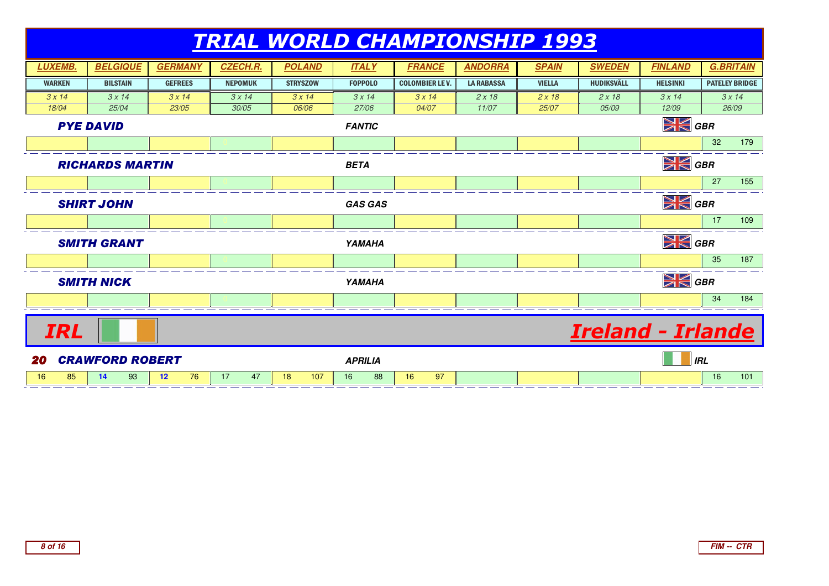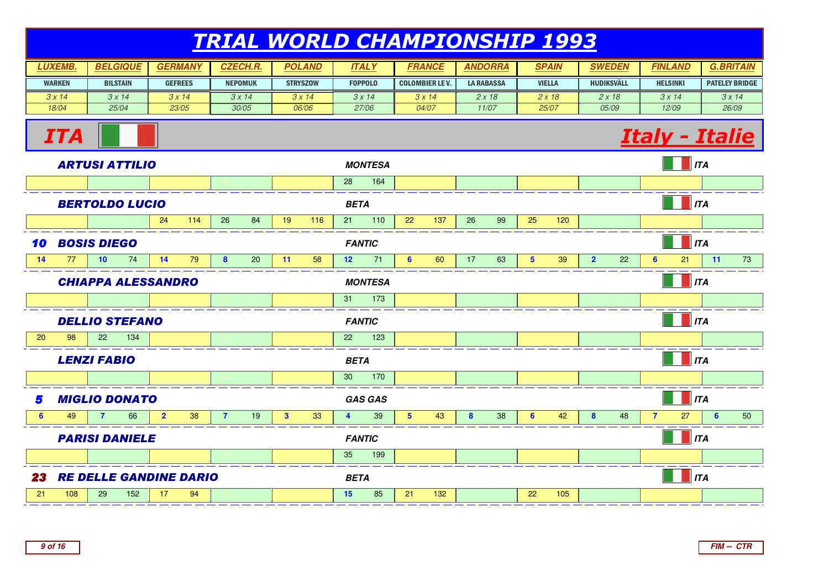| <b>UXEMB.</b> | <b>BELGIQUE</b> | <b>GERMANY</b> | <b>CZECH.R.</b> | <b>POLAND</b>   | <b>ITALY</b>   | <i><b>FRANCE</b></i>   | <b>ANDORRA</b>    | <b>SPAIN</b>  | <i><b>SWEDEN</b></i> | <b>FINLAND</b>  | <b>G.BRITAIN</b>      |
|---------------|-----------------|----------------|-----------------|-----------------|----------------|------------------------|-------------------|---------------|----------------------|-----------------|-----------------------|
| <b>WARKEN</b> | <b>BILSTAIN</b> | <b>GEFREES</b> | <b>NEPOMUK</b>  | <b>STRYSZOW</b> | <b>FOPPOLO</b> | <b>COLOMBIER LE V.</b> | <b>LA RABASSA</b> | <b>VIELLA</b> | <b>HUDIKSVÄLL</b>    | <b>HELSINKI</b> | <b>PATELEY BRIDGE</b> |
| 3 x 14        | 3 x 14          | 3x14           | 3 x 14          | 3 x 14          | 3x14           | 3 x 14                 | 2 x 18            | 2 x 18        | 2x18                 | 3x14            | 3 x 14                |
| 18/04         | 25/04           | 23/05          | 30/05           | 06/06           | 27/06          | 04/07                  | 11/07             | 25/07         | <i>05/09</i>         | 12/09           | 26/09                 |

## **Italy - Italie**



ITA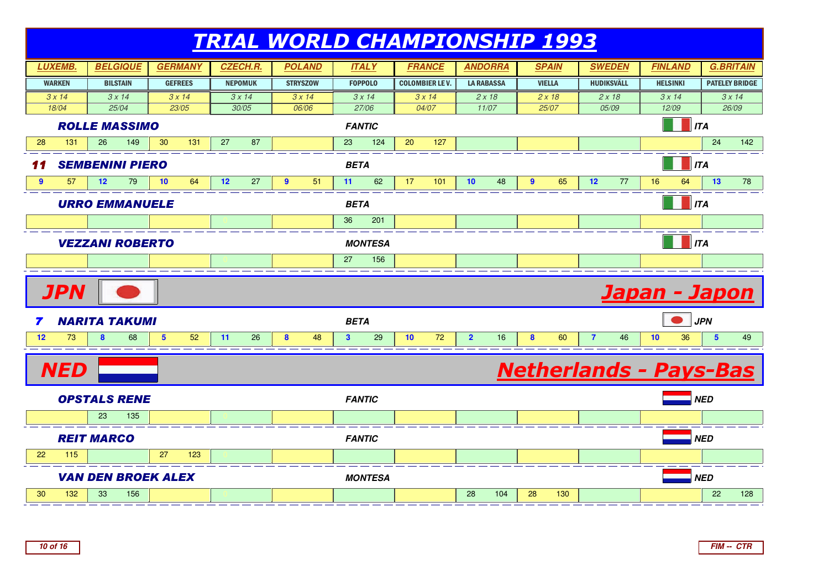

**FIM -- CTR**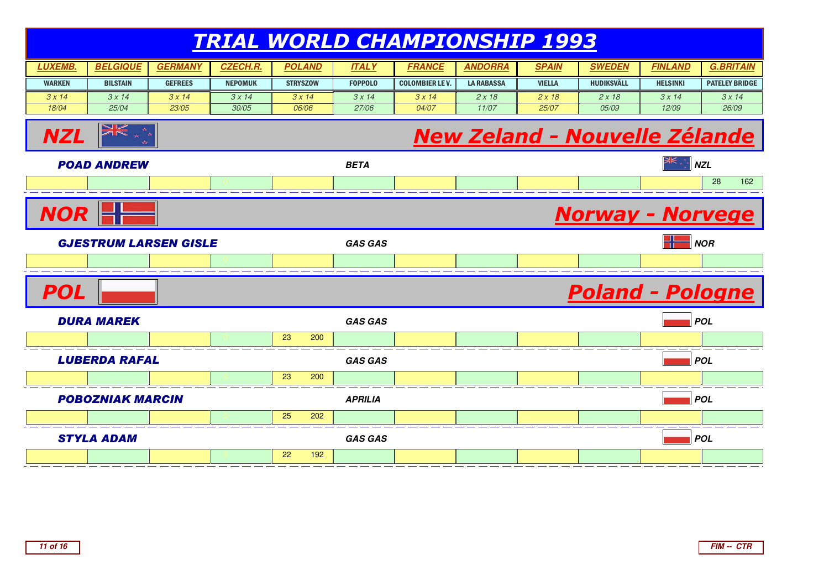|                                       |                              |                |                 |                 |                | <b>TRIAL WORLD CHAMPIONSHIP 1993</b> |                   |               |                                      |                 |                       |
|---------------------------------------|------------------------------|----------------|-----------------|-----------------|----------------|--------------------------------------|-------------------|---------------|--------------------------------------|-----------------|-----------------------|
| <b>LUXEMB.</b>                        | <b>BELGIQUE</b>              | <b>GERMANY</b> | <b>CZECH.R.</b> | <b>POLAND</b>   | <b>ITALY</b>   | <b>FRANCE</b>                        | <b>ANDORRA</b>    | <b>SPAIN</b>  | <b>SWEDEN</b>                        | <b>FINLAND</b>  | <b>G.BRITAIN</b>      |
| <b>WARKEN</b>                         | <b>BILSTAIN</b>              | <b>GEFREES</b> | <b>NEPOMUK</b>  | <b>STRYSZOW</b> | <b>FOPPOLO</b> | <b>COLOMBIER LE V.</b>               | <b>LA RABASSA</b> | <b>VIELLA</b> | <b>HUDIKSVÄLL</b>                    | <b>HELSINKI</b> | <b>PATELEY BRIDGE</b> |
| 3x14                                  | 3x14                         | 3x14           | 3x14            | 3x14            | 3x14           | 3x14                                 | 2x18              | 2x18          | 2x18                                 | 3x14            | 3x14                  |
| 18/04                                 | 25/04                        | 23/05          | 30/05           | 06/06           | 27/06          | 04/07                                | 11/07             | 25/07         | 05/09                                | 12/09           | 26/09                 |
| NZL                                   | XK                           |                |                 |                 |                |                                      |                   |               | <b>New Zeland - Nouvelle Zélande</b> |                 |                       |
|                                       | <b>POAD ANDREW</b>           |                |                 |                 | <b>BETA</b>    |                                      |                   |               |                                      |                 | <b>NZL</b>            |
|                                       |                              |                |                 |                 |                |                                      |                   |               |                                      |                 | 28<br>162             |
| <b>NOR</b><br><b>Norway - Norvege</b> |                              |                |                 |                 |                |                                      |                   |               |                                      |                 |                       |
|                                       | <b>GJESTRUM LARSEN GISLE</b> |                |                 |                 | <b>GAS GAS</b> |                                      |                   |               |                                      |                 | <b>NOR</b>            |
|                                       |                              |                |                 |                 |                |                                      |                   |               |                                      |                 |                       |
| <b>POL</b>                            |                              |                |                 |                 |                |                                      |                   |               | <b>Poland - Pologne</b>              |                 |                       |
|                                       | <b>DURA MAREK</b>            |                |                 |                 | <b>GAS GAS</b> |                                      |                   |               |                                      |                 | <b>POL</b>            |
|                                       |                              |                |                 | 23<br>200       |                |                                      |                   |               |                                      |                 |                       |
|                                       | <b>LUBERDA RAFAL</b>         |                |                 |                 | <b>GAS GAS</b> |                                      |                   |               |                                      |                 | <b>POL</b>            |
|                                       |                              |                |                 | 23<br>200       |                |                                      |                   |               |                                      |                 |                       |
|                                       | <b>POBOZNIAK MARCIN</b>      |                |                 |                 | <b>APRILIA</b> |                                      |                   |               |                                      |                 | <b>POL</b>            |
|                                       |                              |                |                 | 25<br>202       |                |                                      |                   |               |                                      |                 |                       |
|                                       | <b>STYLA ADAM</b>            |                |                 |                 | <b>GAS GAS</b> |                                      |                   |               |                                      |                 | <b>POL</b>            |
|                                       |                              |                |                 | 22<br>192       |                |                                      |                   |               |                                      |                 |                       |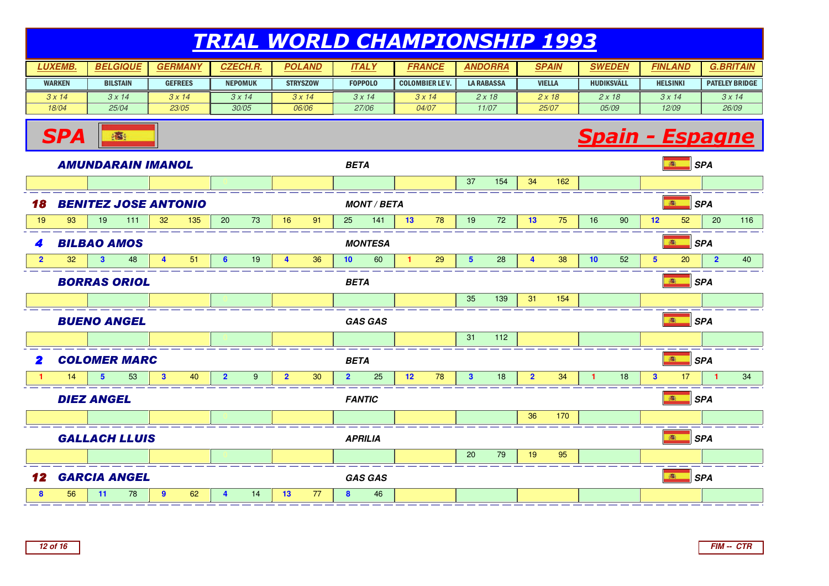| <b>LUXEMB.</b> | <b>BELGIQUE</b> | <b>GERMANY</b> | <b>CZECH.R.</b> | <b>POLAND</b>   | <b>ITALY</b>   | <b>FRANCE</b>          | <b>ANDORRA</b> | <b>SPAIN</b>  | <b>SWEDEN</b>     | <b>FINLAND</b>  | <b>G.BRITAIN</b>      |
|----------------|-----------------|----------------|-----------------|-----------------|----------------|------------------------|----------------|---------------|-------------------|-----------------|-----------------------|
| <b>WARKEN</b>  | <b>BILSTAIN</b> | <b>GEFREES</b> | <b>NEPOMUK</b>  | <b>STRYSZOW</b> | <b>FOPPOLO</b> | <b>COLOMBIER LE V.</b> | LA RABASSA     | <b>VIELLA</b> | <b>HUDIKSVÄLL</b> | <b>HELSINKI</b> | <b>PATELEY BRIDGE</b> |
| 3 x 14         | 3 x 14.         | $3 \times 14$  | 3 x 14          | 3x14            | 3 x 14         | 3x14                   | 2 x 18         | 2 x 18        | 2 x 18            | 3x14            | 3 x 14                |
| 18/04          | 25/04           | 23/05          | 30/05           | 06/06           | 27/06          | 04/07                  | 11/07          | 25/07         | 05/09             | 12/09           | 26/09                 |



**SPA**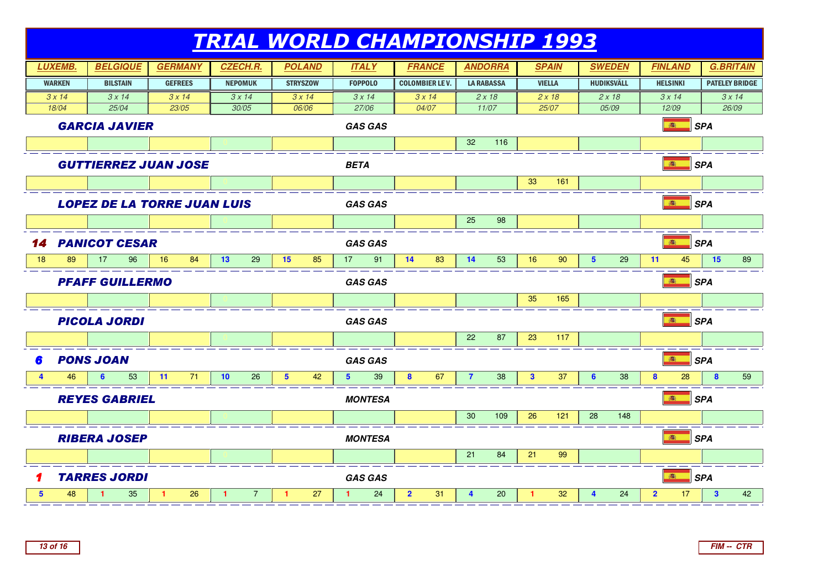

**FIM -- CTR**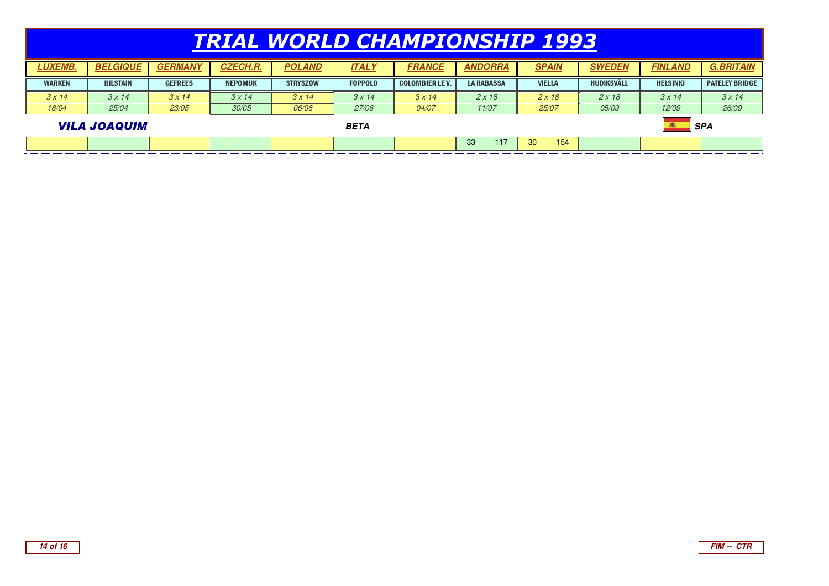| <b>LUXEMB.</b>                     | <b>BELGIQUE</b> | <b>GERMANY</b> | <b>CZECH.R.</b> | <b>POLAND</b>   | <b>ITALY</b>   | <b>FRANCE</b>          | <b>ANDORRA</b>    | <b>SPAIN</b>  | <b>SWEDEN</b> | <b>FINLAND</b>  | <b>G.BRITAIN</b>      |
|------------------------------------|-----------------|----------------|-----------------|-----------------|----------------|------------------------|-------------------|---------------|---------------|-----------------|-----------------------|
| <b>WARKEN</b>                      | <b>BILSTAIN</b> | <b>GEFREES</b> | <b>NEPOMUK</b>  | <b>STRYSZOW</b> | <b>FOPPOLO</b> | <b>COLOMBIER LE V.</b> | <b>LA RABASSA</b> | <b>VIELLA</b> | HUDIKSVÄLL    | <b>HELSINKI</b> | <b>PATELEY BRIDGE</b> |
| 3x14                               | 3x14            | 3x14           | 3x14            | 3x14            | 3x14           | 3x14                   | $2 \times 18$     | 2x18          | 2 x 18        | 3x14            | 3x14                  |
| 18/04                              | 25/04           | 23/05          | 30/05           | 06/06           | 27/06          | 04/07                  | 11/07             | 25/07         | 05/09         | 12/09           | 26/09                 |
| <b>VILA JOAQUIM</b><br><b>BETA</b> |                 |                |                 |                 |                |                        |                   |               |               |                 | <b>SPA</b>            |
|                                    |                 |                |                 |                 |                |                        | 33<br>117         | 154<br>30     |               |                 |                       |

 $\mathcal{L}_{\mathcal{A}}$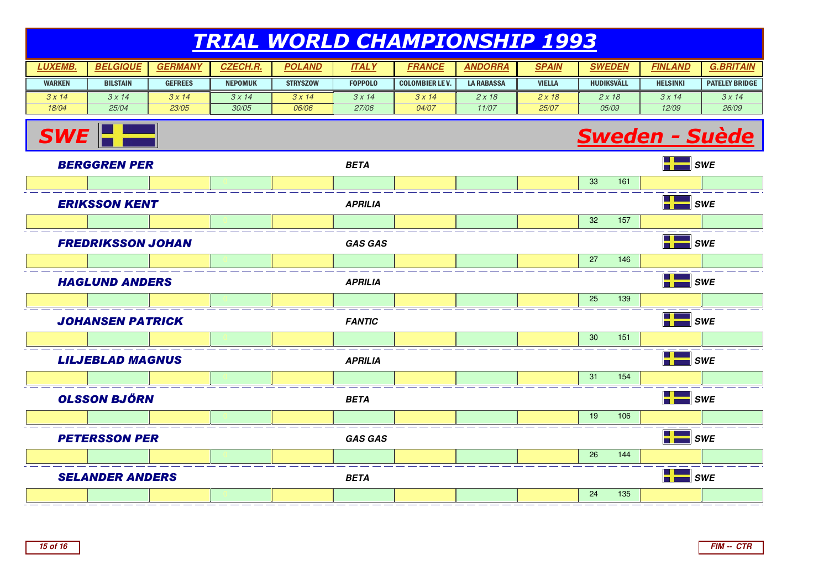#### TRIAL WORLD CHAMPIONSHIP 1993**LUXEMB. BELGIQUE GERMANY CZECH.R. POLAND**WARKEN $3 \times 14$  18/04**BILSTAIN** GEFREES **I** NEPOMUK **STRYSZOW**  $\frac{3x}{14}$ **ITALY FRANCE ANDORRA SPAIN SWEDEN** FOPPOLOCOLOMBIER LE V. | LA RABASSA | VIELLA | HUDIKSVÄLL  $3 \times 14$  25/04 $3 \times 14$  23/05 $3 \times 14$  30/05 06/06 $3 \times 14$  27/063 x 14 04/07 $2 \times 18$  11/07 $2 \times 18$  25/07 $2 \times 18$  05/09**FINLANDHELSINKI**  $3 \times 14$  12/09**G.BRITAIN**PATELEY BRIDGE $3 \times 14$ 26/09

# Sweden - Suède



**SWE**